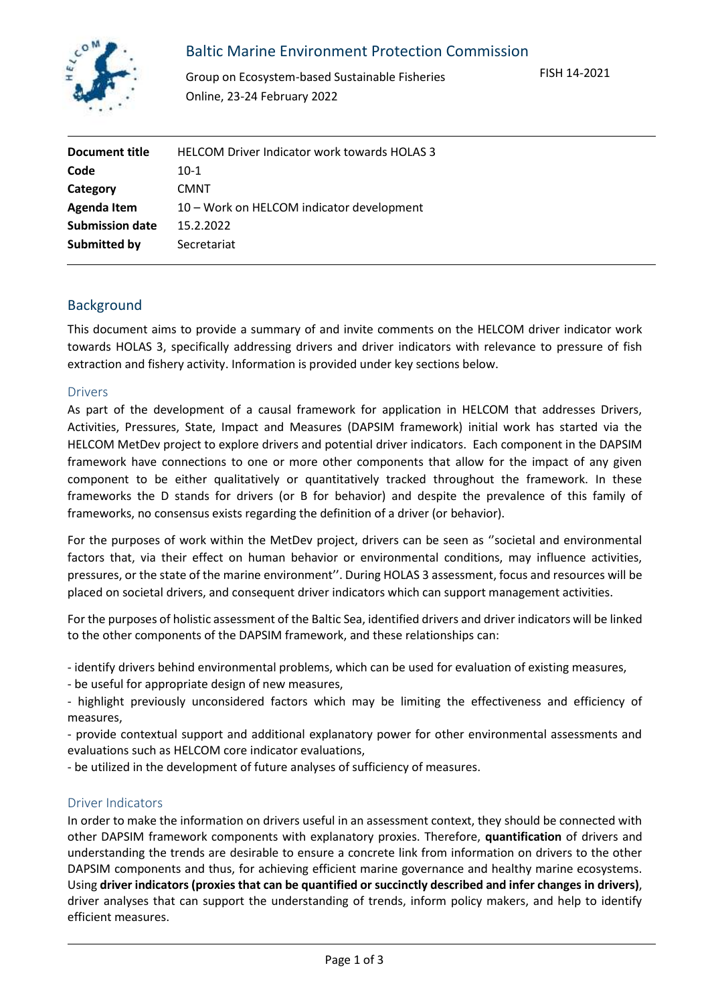

# Baltic Marine Environment Protection Commission

Group on Ecosystem-based Sustainable Fisheries Online, 23-24 February 2022

| <b>HELCOM Driver Indicator work towards HOLAS 3</b> |
|-----------------------------------------------------|
| $10-1$                                              |
| <b>CMNT</b>                                         |
| 10 - Work on HELCOM indicator development           |
| 15.2.2022                                           |
| Secretariat                                         |
|                                                     |

### Background

This document aims to provide a summary of and invite comments on the HELCOM driver indicator work towards HOLAS 3, specifically addressing drivers and driver indicators with relevance to pressure of fish extraction and fishery activity. Information is provided under key sections below.

#### Drivers

As part of the development of a causal framework for application in HELCOM that addresses Drivers, Activities, Pressures, State, Impact and Measures (DAPSIM framework) initial work has started via the HELCOM MetDev project to explore drivers and potential driver indicators. Each component in the DAPSIM framework have connections to one or more other components that allow for the impact of any given component to be either qualitatively or quantitatively tracked throughout the framework. In these frameworks the D stands for drivers (or B for behavior) and despite the prevalence of this family of frameworks, no consensus exists regarding the definition of a driver (or behavior).

For the purposes of work within the MetDev project, drivers can be seen as ''societal and environmental factors that, via their effect on human behavior or environmental conditions, may influence activities, pressures, or the state of the marine environment''. During HOLAS 3 assessment, focus and resources will be placed on societal drivers, and consequent driver indicators which can support management activities.

For the purposes of holistic assessment of the Baltic Sea, identified drivers and driver indicators will be linked to the other components of the DAPSIM framework, and these relationships can:

- identify drivers behind environmental problems, which can be used for evaluation of existing measures,

- be useful for appropriate design of new measures,

- highlight previously unconsidered factors which may be limiting the effectiveness and efficiency of measures,

- provide contextual support and additional explanatory power for other environmental assessments and evaluations such as HELCOM core indicator evaluations,

- be utilized in the development of future analyses of sufficiency of measures.

#### Driver Indicators

In order to make the information on drivers useful in an assessment context, they should be connected with other DAPSIM framework components with explanatory proxies. Therefore, **quantification** of drivers and understanding the trends are desirable to ensure a concrete link from information on drivers to the other DAPSIM components and thus, for achieving efficient marine governance and healthy marine ecosystems. Using **driver indicators (proxies that can be quantified or succinctly described and infer changes in drivers)**, driver analyses that can support the understanding of trends, inform policy makers, and help to identify efficient measures.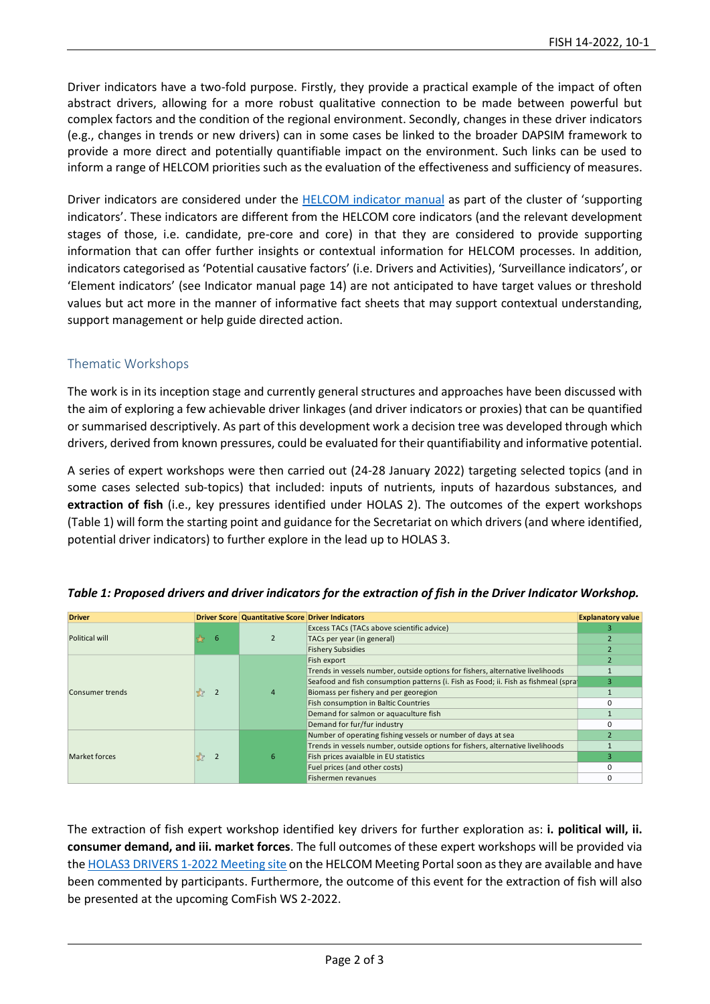Driver indicators have a two-fold purpose. Firstly, they provide a practical example of the impact of often abstract drivers, allowing for a more robust qualitative connection to be made between powerful but complex factors and the condition of the regional environment. Secondly, changes in these driver indicators (e.g., changes in trends or new drivers) can in some cases be linked to the broader DAPSIM framework to provide a more direct and potentially quantifiable impact on the environment. Such links can be used to inform a range of HELCOM priorities such as the evaluation of the effectiveness and sufficiency of measures.

Driver indicators are considered under the [HELCOM indicator manual](https://helcom.fi/wp-content/uploads/2021/01/BSEP175.pdf) as part of the cluster of 'supporting indicators'. These indicators are different from the HELCOM core indicators (and the relevant development stages of those, i.e. candidate, pre-core and core) in that they are considered to provide supporting information that can offer further insights or contextual information for HELCOM processes. In addition, indicators categorised as 'Potential causative factors' (i.e. Drivers and Activities), 'Surveillance indicators', or 'Element indicators' (see Indicator manual page 14) are not anticipated to have target values or threshold values but act more in the manner of informative fact sheets that may support contextual understanding, support management or help guide directed action.

#### Thematic Workshops

The work is in its inception stage and currently general structures and approaches have been discussed with the aim of exploring a few achievable driver linkages (and driver indicators or proxies) that can be quantified or summarised descriptively. As part of this development work a decision tree was developed through which drivers, derived from known pressures, could be evaluated for their quantifiability and informative potential.

A series of expert workshops were then carried out (24-28 January 2022) targeting selected topics (and in some cases selected sub-topics) that included: inputs of nutrients, inputs of hazardous substances, and **extraction of fish** (i.e., key pressures identified under HOLAS 2). The outcomes of the expert workshops (Table 1) will form the starting point and guidance for the Secretariat on which drivers (and where identified, potential driver indicators) to further explore in the lead up to HOLAS 3.

| Driver          |  | Driver Score Quantitative Score Driver Indicators |                                                                                     | <b>Explanatory value</b>   |  |  |                           |
|-----------------|--|---------------------------------------------------|-------------------------------------------------------------------------------------|----------------------------|--|--|---------------------------|
| Political will  |  |                                                   | Excess TACs (TACs above scientific advice)                                          |                            |  |  |                           |
|                 |  |                                                   |                                                                                     | TACs per year (in general) |  |  |                           |
|                 |  |                                                   | Fishery Subsidies                                                                   |                            |  |  |                           |
|                 |  |                                                   | Fish export                                                                         |                            |  |  |                           |
|                 |  |                                                   | Trends in vessels number, outside options for fishers, alternative livelihoods      |                            |  |  |                           |
|                 |  |                                                   | Seafood and fish consumption patterns (i. Fish as Food; ii. Fish as fishmeal (spra) |                            |  |  |                           |
| Consumer trends |  |                                                   | Biomass per fishery and per georegion                                               |                            |  |  |                           |
|                 |  |                                                   | Fish consumption in Baltic Countries                                                |                            |  |  |                           |
|                 |  |                                                   | Demand for salmon or aquaculture fish                                               |                            |  |  |                           |
|                 |  |                                                   | Demand for fur/fur industry                                                         |                            |  |  |                           |
|                 |  |                                                   | Number of operating fishing vessels or number of days at sea                        |                            |  |  |                           |
| Market forces   |  |                                                   | Trends in vessels number, outside options for fishers, alternative livelihoods      |                            |  |  |                           |
|                 |  |                                                   | Fish prices avaialble in EU statistics                                              |                            |  |  |                           |
|                 |  |                                                   | Fuel prices (and other costs)                                                       |                            |  |  |                           |
|                 |  |                                                   |                                                                                     |                            |  |  | <b>Fishermen revanues</b> |

|  | Table 1: Proposed drivers and driver indicators for the extraction of fish in the Driver Indicator Workshop. |  |  |
|--|--------------------------------------------------------------------------------------------------------------|--|--|
|--|--------------------------------------------------------------------------------------------------------------|--|--|

The extraction of fish expert workshop identified key drivers for further exploration as: **i. political will, ii. consumer demand, and iii. market forces**. The full outcomes of these expert workshops will be provided via the [HOLAS3 DRIVERS 1-2022](https://portal.helcom.fi/meetings/HOLAS3%20DRIVERS%201-2022%20-998/default.aspx) Meeting site on the HELCOM Meeting Portal soon as they are available and have been commented by participants. Furthermore, the outcome of this event for the extraction of fish will also be presented at the upcoming ComFish WS 2-2022.